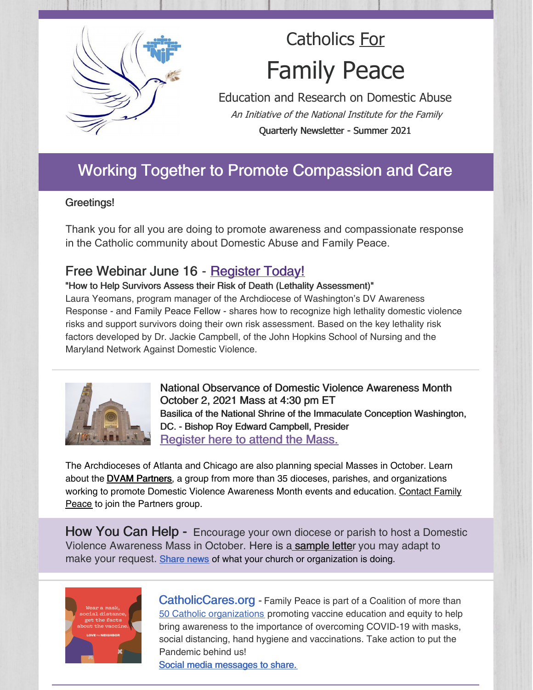

# Catholics For Family Peace

Education and Research on Domestic Abuse An Initiative of the National Institute for the Family Quarterly Newsletter - Summer 2021

## Working Together to Promote Compassion and Care

#### Greetings!

Thank you for all you are doing to promote awareness and compassionate response in the Catholic community about Domestic Abuse and Family Peace.

### Free Webinar June 16 - Register Today!

"How to Help Survivors Assess their Risk of Death (Lethality Assessment)"

Laura Yeomans, program manager of the Archdiocese of Washington's DV Awareness Response - and Family Peace Fellow - shares how to recognize high lethality domestic violence risks and support survivors doing their own risk assessment. Based on the key lethality risk factors developed by Dr. Jackie Campbell, of the John Hopkins School of Nursing and the Maryland Network Against Domestic Violence.



National Observance of Domestic Violence Awareness Month October 2, 2021 Mass at 4:30 pm ET Basilica of the National Shrine of the Immaculate Conception Washington, DC. - Bishop Roy Edward Campbell, Presider Register here to attend the Mass.

The Archdioceses of Atlanta and Chicago are also planning special Masses in October. Learn about the **DVAM Partners**, a group from more than 35 dioceses, parishes, and organizations working to promote Domestic Violence Awareness Month events and education. Contact Family Peace to join the Partners group.

How You Can Help - Encourage your own diocese or parish to host a Domestic Violence Awareness Mass in October. Here is a sample letter you may adapt to make your request. Share news of what your church or organization is doing.



CatholicCares.org - Family Peace is part of a Coalition of more than 50 Catholic organizations promoting vaccine education and equity to help bring awareness to the importance of overcoming COVID-19 with masks, social distancing, hand hygiene and vaccinations. Take action to put the Pandemic behind us!

Social media messages to share.